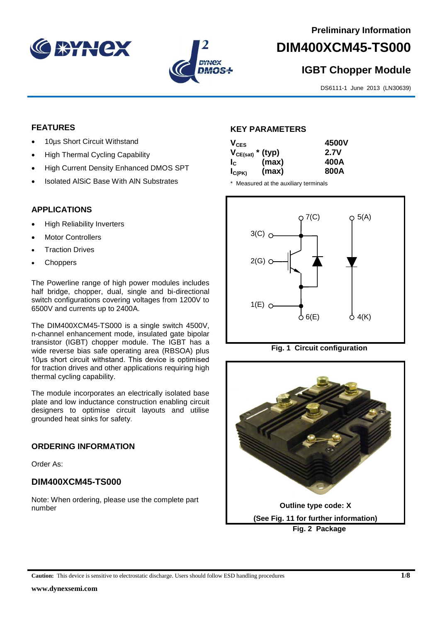



# **DIM400XCM45-TS000**

# **IGBT Chopper Module**

DS6111-1 June 2013 (LN30639)

#### **FEATURES**

- 10µs Short Circuit Withstand
- High Thermal Cycling Capability
- High Current Density Enhanced DMOS SPT
- Isolated AlSiC Base With AlN Substrates

## **APPLICATIONS**

- High Reliability Inverters
- Motor Controllers
- Traction Drives
- **Choppers**

The Powerline range of high power modules includes half bridge, chopper, dual, single and bi-directional switch configurations covering voltages from 1200V to 6500V and currents up to 2400A.

The DIM400XCM45-TS000 is a single switch 4500V, n-channel enhancement mode, insulated gate bipolar transistor (IGBT) chopper module. The IGBT has a wide reverse bias safe operating area (RBSOA) plus 10μs short circuit withstand. This device is optimised for traction drives and other applications requiring high thermal cycling capability.

The module incorporates an electrically isolated base plate and low inductance construction enabling circuit designers to optimise circuit layouts and utilise grounded heat sinks for safety.

#### **ORDERING INFORMATION**

Order As:

# **DIM400XCM45-TS000**

Note: When ordering, please use the complete part number

#### **KEY PARAMETERS**

|       | 4500V                 |
|-------|-----------------------|
|       | 2.7V                  |
| (max) | 400A                  |
| (max) | 800A                  |
|       | $V_{CE(sat)}$ * (typ) |

\* Measured at the auxiliary terminals





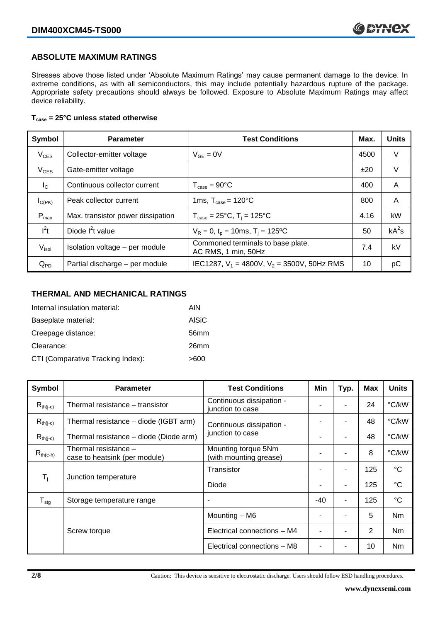#### **ABSOLUTE MAXIMUM RATINGS**

Stresses above those listed under 'Absolute Maximum Ratings' may cause permanent damage to the device. In extreme conditions, as with all semiconductors, this may include potentially hazardous rupture of the package. Appropriate safety precautions should always be followed. Exposure to Absolute Maximum Ratings may affect device reliability.

#### **Tcase = 25°C unless stated otherwise**

| Symbol            | <b>Parameter</b>                  | <b>Test Conditions</b>                                   |      | <b>Units</b> |
|-------------------|-----------------------------------|----------------------------------------------------------|------|--------------|
| $V_{CES}$         | Collector-emitter voltage         | $V_{GF} = 0V$                                            | 4500 | V            |
| $V_{GES}$         | Gate-emitter voltage              |                                                          | ±20  | V            |
| $I_{\rm C}$       | Continuous collector current      | $T_{\text{case}} = 90^{\circ}$ C                         | 400  | A            |
| $I_{C(PK)}$       | Peak collector current            | 1ms, $T_{\text{case}} = 120^{\circ}$ C                   | 800  | A            |
| $P_{\text{max}}$  | Max. transistor power dissipation | $T_{\text{case}} = 25^{\circ}C$ , $T_i = 125^{\circ}C$   | 4.16 | kW           |
| $I^2t$            | Diode $I^2t$ value                | $V_R = 0$ , $t_p = 10$ ms, T <sub>i</sub> = 125°C        | 50   | $kA^2s$      |
| V <sub>isol</sub> | Isolation voltage - per module    | Commoned terminals to base plate.<br>AC RMS, 1 min, 50Hz | 7.4  | kV           |
| $Q_{PD}$          | Partial discharge - per module    | IEC1287, $V_1$ = 4800V, $V_2$ = 3500V, 50Hz RMS          | 10   | рC           |

#### **THERMAL AND MECHANICAL RATINGS**

| Internal insulation material:     | AIN              |
|-----------------------------------|------------------|
| Baseplate material:               | <b>AISiC</b>     |
| Creepage distance:                | 56 <sub>mm</sub> |
| Clearance:                        | 26mm             |
| CTI (Comparative Tracking Index): | >600             |

| Symbol                        | <b>Parameter</b>                                                                                       | <b>Test Conditions</b>                       | Min            | Typ.           | <b>Max</b>  | <b>Units</b> |
|-------------------------------|--------------------------------------------------------------------------------------------------------|----------------------------------------------|----------------|----------------|-------------|--------------|
| $R_{th(i-c)}$                 | Thermal resistance – transistor                                                                        | Continuous dissipation -<br>junction to case |                |                | 24          | °C/kW        |
| $R_{th(j-c)}$                 | Thermal resistance – diode (IGBT arm)                                                                  | Continuous dissipation -                     |                |                | 48          | °C/kW        |
| $R_{th(i-c)}$                 | Thermal resistance - diode (Diode arm)                                                                 | junction to case                             |                | $\blacksquare$ | 48          | °C/kW        |
| $R_{th(c-h)}$                 | Thermal resistance -<br>Mounting torque 5Nm<br>(with mounting grease)<br>case to heatsink (per module) |                                              |                | ۰              | 8           | °C/kW        |
| $T_i$<br>Junction temperature | Transistor                                                                                             |                                              | $\blacksquare$ | 125            | $^{\circ}C$ |              |
|                               | Diode                                                                                                  |                                              | ۰              | 125            | $^{\circ}C$ |              |
| ${\mathsf T}_{\text{stg}}$    | Storage temperature range                                                                              |                                              | $-40$          | $\blacksquare$ | 125         | $^{\circ}C$  |
|                               |                                                                                                        | Mounting - M6                                |                |                | 5           | Nm           |
|                               | Screw torque                                                                                           | Electrical connections - M4                  |                | $\blacksquare$ | 2           | Nm           |
|                               |                                                                                                        | Electrical connections - M8                  |                |                | 10          | Nm           |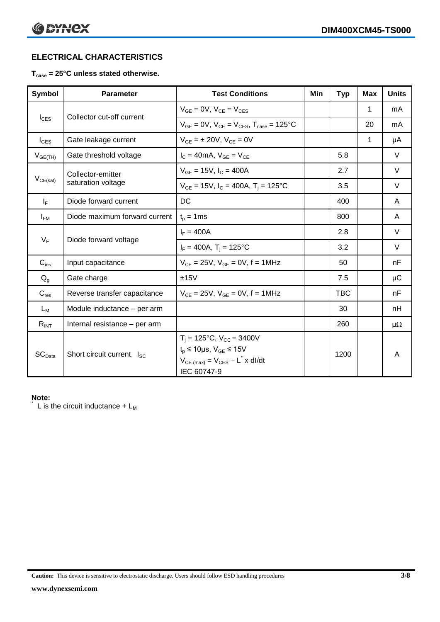# **ELECTRICAL CHARACTERISTICS**

#### **Tcase = 25°C unless stated otherwise.**

| Symbol             | <b>Parameter</b>                       | <b>Test Conditions</b>                                                                                                                                      | Min | <b>Typ</b> | <b>Max</b>   | <b>Units</b> |
|--------------------|----------------------------------------|-------------------------------------------------------------------------------------------------------------------------------------------------------------|-----|------------|--------------|--------------|
|                    |                                        | $V_{GF} = 0V$ , $V_{CE} = V_{CES}$                                                                                                                          |     |            | 1            | mA           |
| $I_{\text{CES}}$   | Collector cut-off current              | $V_{GF} = 0V$ , $V_{CF} = V_{CES}$ , $T_{case} = 125^{\circ}C$                                                                                              |     |            | 20           | mA           |
| $I_{\text{GES}}$   | Gate leakage current                   | $V_{GF} = \pm 20V$ , $V_{CF} = 0V$                                                                                                                          |     |            | $\mathbf{1}$ | μA           |
| $V_{GE(TH)}$       | Gate threshold voltage                 | $I_C = 40mA$ , $V_{GF} = V_{CF}$                                                                                                                            |     | 5.8        |              | V            |
|                    | Collector-emitter                      | $V_{GE}$ = 15V, $I_C$ = 400A                                                                                                                                |     | 2.7        |              | V            |
| $V_{CE(sat)}$      | saturation voltage                     | $V_{GF}$ = 15V, $I_C$ = 400A, T <sub>i</sub> = 125°C                                                                                                        |     | 3.5        |              | V            |
| $I_F$              | Diode forward current                  | DC                                                                                                                                                          |     | 400        |              | A            |
| $I_{FM}$           | Diode maximum forward current          | $t_p = 1$ ms                                                                                                                                                |     | 800        |              | A            |
|                    |                                        | $I_F = 400A$                                                                                                                                                |     | 2.8        |              | $\vee$       |
| $V_F$              | Diode forward voltage                  | $I_F = 400A$ , $T_i = 125^{\circ}C$                                                                                                                         |     | 3.2        |              | $\vee$       |
| $C_{\text{ies}}$   | Input capacitance                      | $V_{CE} = 25V$ , $V_{GE} = 0V$ , f = 1MHz                                                                                                                   |     | 50         |              | nF           |
| $Q_g$              | Gate charge                            | ±15V                                                                                                                                                        |     | 7.5        |              | μC           |
| $C_{res}$          | Reverse transfer capacitance           | $V_{CE} = 25V$ , $V_{GE} = 0V$ , f = 1MHz                                                                                                                   |     | <b>TBC</b> |              | nF           |
| $L_M$              | Module inductance - per arm            |                                                                                                                                                             |     | 30         |              | nH           |
| $R_{INT}$          | Internal resistance - per arm          |                                                                                                                                                             |     | 260        |              | $\mu\Omega$  |
| SC <sub>Data</sub> | Short circuit current, I <sub>SC</sub> | $T_i = 125$ °C, $V_{CC} = 3400V$<br>$t_p \le 10 \mu s$ , $V_{GE} \le 15 V$<br>$V_{CE \text{ (max)}} = V_{CES} - L^{\dagger} x \text{ dI/dt}$<br>IEC 60747-9 |     | 1200       |              | A            |

#### **Note:**

L is the circuit inductance  $+ L_M$ 

**Caution:** This device is sensitive to electrostatic discharge. Users should follow ESD handling procedures **3/8**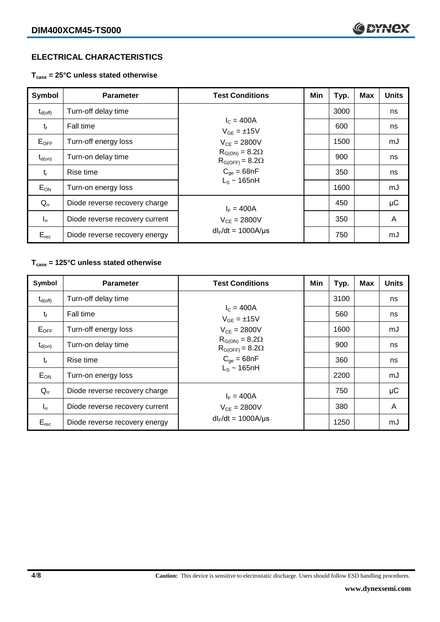# **ELECTRICAL CHARACTERISTICS**

**Tcase = 25°C unless stated otherwise**

| <b>Symbol</b>       | <b>Parameter</b>               | <b>Test Conditions</b>                                                                      | Min | Typ. | <b>Max</b> | <b>Units</b> |
|---------------------|--------------------------------|---------------------------------------------------------------------------------------------|-----|------|------------|--------------|
| $t_{d(\text{off})}$ | Turn-off delay time            |                                                                                             |     | 3000 |            | ns           |
| $t_{\rm f}$         | Fall time                      | $I_C = 400A$<br>$V_{GF} = \pm 15V$                                                          |     | 600  |            | ns           |
| $E_{OFF}$           | Turn-off energy loss           | $V_{CE} = 2800V$                                                                            |     | 1500 |            | mJ           |
| $t_{d(on)}$         | Turn-on delay time             | $R_{G(ON)} = 8.2\Omega$<br>$R_{G(OFF)} = 8.2\Omega$<br>$C_{qe} = 68nF$<br>$L_s \sim 165$ nH |     | 900  |            | ns           |
| $t_{r}$             | Rise time                      |                                                                                             |     | 350  |            | ns           |
| $E_{ON}$            | Turn-on energy loss            |                                                                                             |     | 1600 |            | mJ           |
| $Q_{rr}$            | Diode reverse recovery charge  | $I_F = 400A$                                                                                |     | 450  |            | $\mu$ C      |
| $I_{rr}$            | Diode reverse recovery current | $V_{CE} = 2800V$                                                                            |     | 350  |            | A            |
| $E_{rec}$           | Diode reverse recovery energy  | $dl_F/dt = 1000A/\mu s$                                                                     |     | 750  |            | mJ           |

## **Tcase = 125°C unless stated otherwise**

| Symbol       | <b>Test Conditions</b><br><b>Parameter</b> |                                                                                             | Min | Typ. | <b>Max</b> | <b>Units</b> |
|--------------|--------------------------------------------|---------------------------------------------------------------------------------------------|-----|------|------------|--------------|
| $t_{d(off)}$ | Turn-off delay time                        |                                                                                             |     | 3100 |            | ns           |
| $t_{\rm f}$  | Fall time                                  | $I_c = 400A$<br>$V_{GE} = \pm 15V$                                                          |     | 560  |            | ns           |
| $E_{OFF}$    | Turn-off energy loss                       | $V_{CE} = 2800V$                                                                            |     | 1600 |            | mJ           |
| $t_{d(0n)}$  | Turn-on delay time                         | $R_{G(ON)} = 8.2\Omega$<br>$R_{G(OFF)} = 8.2\Omega$<br>$C_{qe} = 68nF$<br>$L_s \sim 165$ nH |     | 900  |            | ns           |
| $t_{r}$      | Rise time                                  |                                                                                             |     | 360  |            | ns           |
| $E_{ON}$     | Turn-on energy loss                        |                                                                                             |     | 2200 |            | mJ           |
| $Q_{rr}$     | Diode reverse recovery charge              | $I_F = 400A$                                                                                |     | 750  |            | μC           |
| $I_{rr}$     | Diode reverse recovery current             | $V_{CE} = 2800V$                                                                            |     | 380  |            | A            |
| $E_{rec}$    | Diode reverse recovery energy              | $dl_F/dt = 1000A/\mu s$                                                                     |     | 1250 |            | mJ           |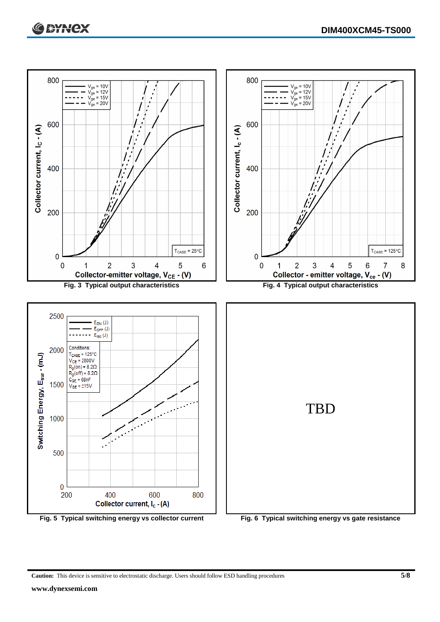



**Caution:** This device is sensitive to electrostatic discharge. Users should follow ESD handling procedures **5/8**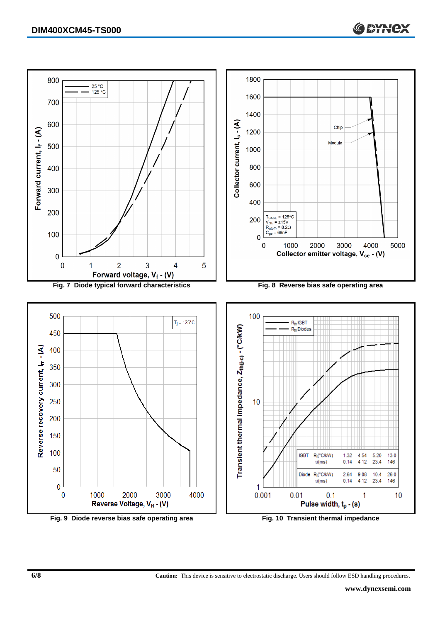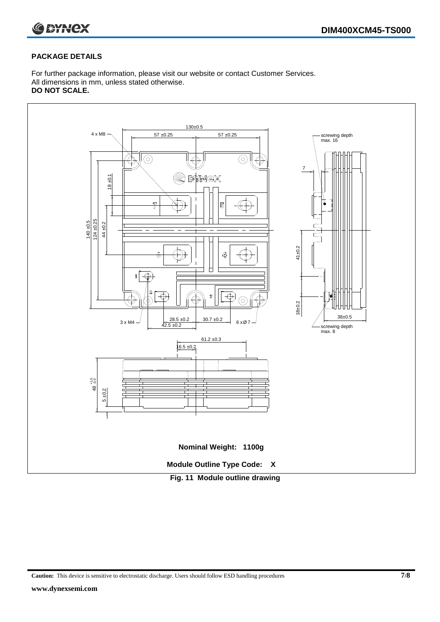

#### **PACKAGE DETAILS**

For further package information, please visit our website or contact Customer Services. All dimensions in mm, unless stated otherwise. **DO NOT SCALE.**



**Caution:** This device is sensitive to electrostatic discharge. Users should follow ESD handling procedures **7/8**